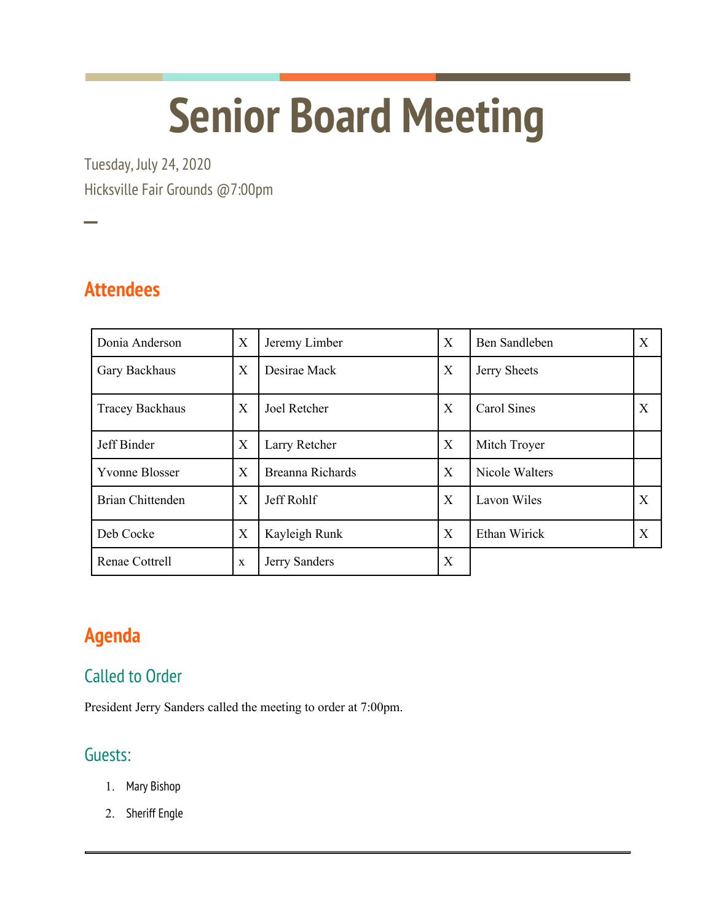# **Senior Board Meeting**

Tuesday, July 24, 2020 Hicksville Fair Grounds @7:00pm

**Attendees**

──<br>──

| Donia Anderson          | X | Jeremy Limber    | X | Ben Sandleben  | Χ |
|-------------------------|---|------------------|---|----------------|---|
| Gary Backhaus           | X | Desirae Mack     | X | Jerry Sheets   |   |
| <b>Tracey Backhaus</b>  | X | Joel Retcher     | X | Carol Sines    | X |
| Jeff Binder             | X | Larry Retcher    | X | Mitch Troyer   |   |
| <b>Yvonne Blosser</b>   | X | Breanna Richards | X | Nicole Walters |   |
| <b>Brian Chittenden</b> | X | Jeff Rohlf       | X | Lavon Wiles    | X |
| Deb Cocke               | X | Kayleigh Runk    | X | Ethan Wirick   | Χ |
| Renae Cottrell          | X | Jerry Sanders    | X |                |   |

# **Agenda**

## Called to Order

President Jerry Sanders called the meeting to order at 7:00pm.

### Guests:

- 1. Mary Bishop
- 2. Sheriff Engle